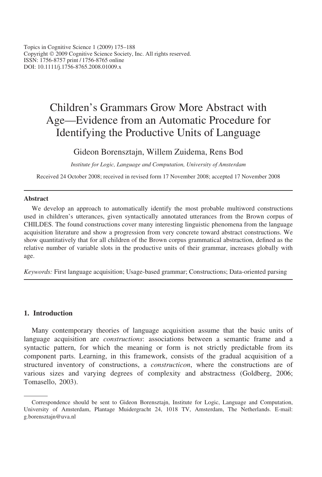Topics in Cognitive Science 1 (2009) 175–188 Copyright © 2009 Cognitive Science Society, Inc. All rights reserved. ISSN: 1756-8757 print / 1756-8765 online DOI: 10.1111/j.1756-8765.2008.01009.x

# Children's Grammars Grow More Abstract with Age—Evidence from an Automatic Procedure for Identifying the Productive Units of Language

# Gideon Borensztajn, Willem Zuidema, Rens Bod

Institute for Logic, Language and Computation, University of Amsterdam

Received 24 October 2008; received in revised form 17 November 2008; accepted 17 November 2008

#### Abstract

We develop an approach to automatically identify the most probable multiword constructions used in children's utterances, given syntactically annotated utterances from the Brown corpus of CHILDES. The found constructions cover many interesting linguistic phenomena from the language acquisition literature and show a progression from very concrete toward abstract constructions. We show quantitatively that for all children of the Brown corpus grammatical abstraction, defined as the relative number of variable slots in the productive units of their grammar, increases globally with age.

Keywords: First language acquisition; Usage-based grammar; Constructions; Data-oriented parsing

#### 1. Introduction

Many contemporary theories of language acquisition assume that the basic units of language acquisition are constructions: associations between a semantic frame and a syntactic pattern, for which the meaning or form is not strictly predictable from its component parts. Learning, in this framework, consists of the gradual acquisition of a structured inventory of constructions, a constructicon, where the constructions are of various sizes and varying degrees of complexity and abstractness (Goldberg, 2006; Tomasello, 2003).

Correspondence should be sent to Gideon Borensztajn, Institute for Logic, Language and Computation, University of Amsterdam, Plantage Muidergracht 24, 1018 TV, Amsterdam, The Netherlands. E-mail: g.borensztajn@uva.nl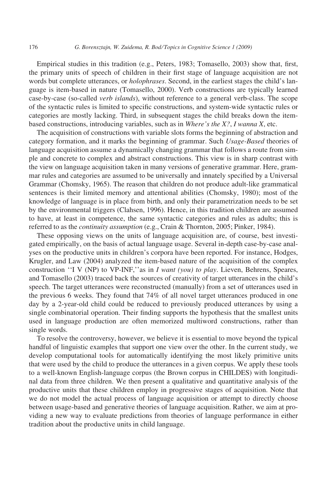Empirical studies in this tradition (e.g., Peters, 1983; Tomasello, 2003) show that, first, the primary units of speech of children in their first stage of language acquisition are not words but complete utterances, or holophrases. Second, in the earliest stages the child's language is item-based in nature (Tomasello, 2000). Verb constructions are typically learned case-by-case (so-called verb islands), without reference to a general verb-class. The scope of the syntactic rules is limited to specific constructions, and system-wide syntactic rules or categories are mostly lacking. Third, in subsequent stages the child breaks down the itembased constructions, introducing variables, such as in Where's the X?, I wanna X, etc.

The acquisition of constructions with variable slots forms the beginning of abstraction and category formation, and it marks the beginning of grammar. Such Usage-Based theories of language acquisition assume a dynamically changing grammar that follows a route from simple and concrete to complex and abstract constructions. This view is in sharp contrast with the view on language acquisition taken in many versions of generative grammar. Here, grammar rules and categories are assumed to be universally and innately specified by a Universal Grammar (Chomsky, 1965). The reason that children do not produce adult-like grammatical sentences is their limited memory and attentional abilities (Chomsky, 1980); most of the knowledge of language is in place from birth, and only their parametrization needs to be set by the environmental triggers (Clahsen, 1996). Hence, in this tradition children are assumed to have, at least in competence, the same syntactic categories and rules as adults; this is referred to as the *continuity assumption* (e.g., Crain & Thornton, 2005; Pinker, 1984).

These opposing views on the units of language acquisition are, of course, best investigated empirically, on the basis of actual language usage. Several in-depth case-by-case analyses on the productive units in children's corpora have been reported. For instance, Hodges, Krugler, and Law (2004) analyzed the item-based nature of the acquisition of the complex construction "I V (NP) to VP-INF," as in *I want (you) to play*. Lieven, Behrens, Speares, and Tomasello (2003) traced back the sources of creativity of target utterances in the child's speech. The target utterances were reconstructed (manually) from a set of utterances used in the previous 6 weeks. They found that 74% of all novel target utterances produced in one day by a 2-year-old child could be reduced to previously produced utterances by using a single combinatorial operation. Their finding supports the hypothesis that the smallest units used in language production are often memorized multiword constructions, rather than single words.

To resolve the controversy, however, we believe it is essential to move beyond the typical handful of linguistic examples that support one view over the other. In the current study, we develop computational tools for automatically identifying the most likely primitive units that were used by the child to produce the utterances in a given corpus. We apply these tools to a well-known English-language corpus (the Brown corpus in CHILDES) with longitudinal data from three children. We then present a qualitative and quantitative analysis of the productive units that these children employ in progressive stages of acquisition. Note that we do not model the actual process of language acquisition or attempt to directly choose between usage-based and generative theories of language acquisition. Rather, we aim at providing a new way to evaluate predictions from theories of language performance in either tradition about the productive units in child language.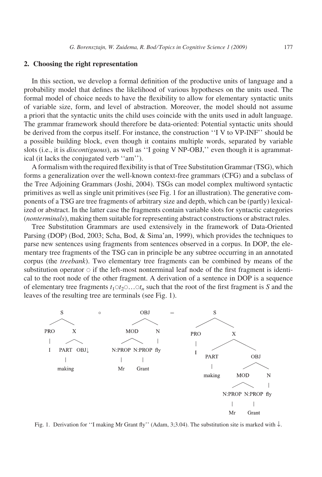#### 2. Choosing the right representation

In this section, we develop a formal definition of the productive units of language and a probability model that defines the likelihood of various hypotheses on the units used. The formal model of choice needs to have the flexibility to allow for elementary syntactic units of variable size, form, and level of abstraction. Moreover, the model should not assume a priori that the syntactic units the child uses coincide with the units used in adult language. The grammar framework should therefore be data-oriented: Potential syntactic units should be derived from the corpus itself. For instance, the construction ''I V to VP-INF'' should be a possible building block, even though it contains multiple words, separated by variable slots (i.e., it is *discontiguous*), as well as "I going V NP-OBJ," even though it is agrammatical (it lacks the conjugated verb ''am'').

A formalism with the required flexibility is that of Tree Substitution Grammar (TSG), which forms a generalization over the well-known context-free grammars (CFG) and a subclass of the Tree Adjoining Grammars (Joshi, 2004). TSGs can model complex multiword syntactic primitives as well as single unit primitives (see Fig. 1 for an illustration). The generative components of a TSG are tree fragments of arbitrary size and depth, which can be (partly) lexicalized or abstract. In the latter case the fragments contain variable slots for syntactic categories (nonterminals), making them suitable for representing abstract constructions or abstract rules.

Tree Substitution Grammars are used extensively in the framework of Data-Oriented Parsing (DOP) (Bod, 2003; Scha, Bod, & Sima'an, 1999), which provides the techniques to parse new sentences using fragments from sentences observed in a corpus. In DOP, the elementary tree fragments of the TSG can in principle be any subtree occurring in an annotated corpus (the treebank). Two elementary tree fragments can be combined by means of the substitution operator  $\circ$  if the left-most nonterminal leaf node of the first fragment is identical to the root node of the other fragment. A derivation of a sentence in DOP is a sequence of elementary tree fragments  $t_1 \circ t_2 \circ \ldots \circ t_n$  such that the root of the first fragment is S and the leaves of the resulting tree are terminals (see Fig. 1).



Fig. 1. Derivation for "I making Mr Grant fly" (Adam, 3;3.04). The substitution site is marked with  $\downarrow$ .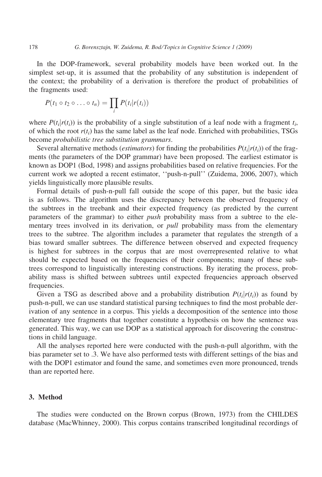In the DOP-framework, several probability models have been worked out. In the simplest set-up, it is assumed that the probability of any substitution is independent of the context; the probability of a derivation is therefore the product of probabilities of the fragments used:

$$
P(t_1 \circ t_2 \circ \ldots \circ t_n) = \prod_i P(t_i | r(t_i))
$$

where  $P(t_i|r(t_i))$  is the probability of a single substitution of a leaf node with a fragment  $t_i$ , of which the root  $r(t_i)$  has the same label as the leaf node. Enriched with probabilities, TSGs become probabilistic tree substitution grammars.

Several alternative methods (*estimators*) for finding the probabilities  $P(t_i|r(t_i))$  of the fragments (the parameters of the DOP grammar) have been proposed. The earliest estimator is known as DOP1 (Bod, 1998) and assigns probabilities based on relative frequencies. For the current work we adopted a recent estimator, ''push-n-pull'' (Zuidema, 2006, 2007), which yields linguistically more plausible results.

Formal details of push-n-pull fall outside the scope of this paper, but the basic idea is as follows. The algorithm uses the discrepancy between the observed frequency of the subtrees in the treebank and their expected frequency (as predicted by the current parameters of the grammar) to either push probability mass from a subtree to the elementary trees involved in its derivation, or *pull* probability mass from the elementary trees to the subtree. The algorithm includes a parameter that regulates the strength of a bias toward smaller subtrees. The difference between observed and expected frequency is highest for subtrees in the corpus that are most overrepresented relative to what should be expected based on the frequencies of their components; many of these subtrees correspond to linguistically interesting constructions. By iterating the process, probability mass is shifted between subtrees until expected frequencies approach observed frequencies.

Given a TSG as described above and a probability distribution  $P(t_i|r(t_i))$  as found by push-n-pull, we can use standard statistical parsing techniques to find the most probable derivation of any sentence in a corpus. This yields a decomposition of the sentence into those elementary tree fragments that together constitute a hypothesis on how the sentence was generated. This way, we can use DOP as a statistical approach for discovering the constructions in child language.

All the analyses reported here were conducted with the push-n-pull algorithm, with the bias parameter set to .3. We have also performed tests with different settings of the bias and with the DOP1 estimator and found the same, and sometimes even more pronounced, trends than are reported here.

#### 3. Method

The studies were conducted on the Brown corpus (Brown, 1973) from the CHILDES database (MacWhinney, 2000). This corpus contains transcribed longitudinal recordings of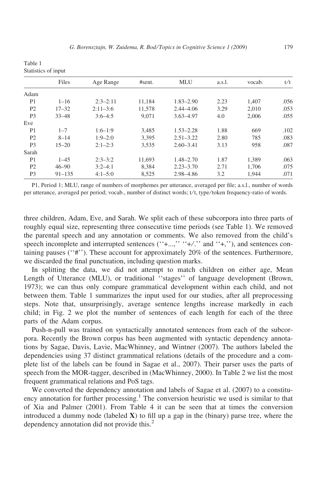| Table 1             |  |
|---------------------|--|
| Statistics of input |  |

|                | Files      | Age Range    | #sent. | <b>MLU</b>    | a.s.1. | vocab. | t/t  |
|----------------|------------|--------------|--------|---------------|--------|--------|------|
| Adam           |            |              |        |               |        |        |      |
| P <sub>1</sub> | $1 - 16$   | $2:3-2:11$   | 11,184 | $1.83 - 2.90$ | 2.23   | 1.407  | .056 |
| P <sub>2</sub> | $17 - 32$  | $2:11 - 3:6$ | 11,578 | $2.44 - 4.06$ | 3.29   | 2.010  | .053 |
| P <sub>3</sub> | $33 - 48$  | $3:6-4:5$    | 9.071  | $3.63 - 4.97$ | 4.0    | 2,006  | .055 |
| Eve            |            |              |        |               |        |        |      |
| P <sub>1</sub> | $1 - 7$    | $1:6-1:9$    | 3,485  | $1.53 - 2.28$ | 1.88   | 669    | .102 |
| P <sub>2</sub> | $8 - 14$   | $1:9-2:0$    | 3.395  | $2.51 - 3.22$ | 2.80   | 785    | .083 |
| P <sub>3</sub> | $15 - 20$  | $2:1-2:3$    | 3,535  | $2.60 - 3.41$ | 3.13   | 958    | .087 |
| Sarah          |            |              |        |               |        |        |      |
| P <sub>1</sub> | $1 - 4.5$  | $2:3-3:2$    | 11,693 | $1.48 - 2.70$ | 1.87   | 1.389  | .063 |
| P <sub>2</sub> | $46 - 90$  | $3:2-4:1$    | 8.384  | $2.23 - 3.70$ | 2.71   | 1.706  | .075 |
| P <sub>3</sub> | $91 - 135$ | $4:1 - 5:0$  | 8.525  | 2.98-4.86     | 3.2    | 1,944  | .071 |

P1, Period 1; MLU, range of numbers of morphemes per utterance, averaged per file; a.s.l., number of words per utterance, averaged per period; vocab., number of distinct words;  $t/t$ , type/token frequency-ratio of words.

three children, Adam, Eve, and Sarah. We split each of these subcorpora into three parts of roughly equal size, representing three consecutive time periods (see Table 1). We removed the parental speech and any annotation or comments. We also removed from the child's speech incomplete and interrupted sentences ("+...," "+/." and "+,"), and sentences containing pauses (''#''). These account for approximately 20% of the sentences. Furthermore, we discarded the final punctuation, including question marks.

In splitting the data, we did not attempt to match children on either age, Mean Length of Utterance (MLU), or traditional ''stages'' of language development (Brown, 1973); we can thus only compare grammatical development within each child, and not between them. Table 1 summarizes the input used for our studies, after all preprocessing steps. Note that, unsurprisingly, average sentence lengths increase markedly in each child; in Fig. 2 we plot the number of sentences of each length for each of the three parts of the Adam corpus.

Push-n-pull was trained on syntactically annotated sentences from each of the subcorpora. Recently the Brown corpus has been augmented with syntactic dependency annotations by Sagae, Davis, Lavie, MacWhinney, and Wintner (2007). The authors labeled the dependencies using 37 distinct grammatical relations (details of the procedure and a complete list of the labels can be found in Sagae et al., 2007). Their parser uses the parts of speech from the MOR-tagger, described in (MacWhinney, 2000). In Table 2 we list the most frequent grammatical relations and PoS tags.

We converted the dependency annotation and labels of Sagae et al. (2007) to a constituency annotation for further processing.<sup>1</sup> The conversion heuristic we used is similar to that of Xia and Palmer (2001). From Table 4 it can be seen that at times the conversion introduced a dummy node (labeled  $X$ ) to fill up a gap in the (binary) parse tree, where the dependency annotation did not provide this.<sup>2</sup>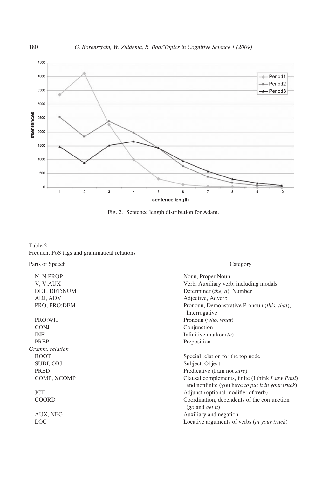

Fig. 2. Sentence length distribution for Adam.

| Table 2                                     |  |  |  |
|---------------------------------------------|--|--|--|
| Frequent PoS tags and grammatical relations |  |  |  |

| Parts of Speech | Category                                                                                                     |
|-----------------|--------------------------------------------------------------------------------------------------------------|
| N, N:PROP       | Noun, Proper Noun                                                                                            |
| V, V:AUX        | Verb, Auxiliary verb, including modals                                                                       |
| DET, DET:NUM    | Determiner (the, a), Number                                                                                  |
| ADJ, ADV        | Adjective, Adverb                                                                                            |
| PRO, PRO:DEM    | Pronoun, Demonstrative Pronoun <i>(this, that)</i> ,<br>Interrogative                                        |
| PRO: WH         | Pronoun (who, what)                                                                                          |
| <b>CONJ</b>     | Conjunction                                                                                                  |
| <b>INF</b>      | Infinitive marker $(to)$                                                                                     |
| <b>PREP</b>     | Preposition                                                                                                  |
| Gramm, relation |                                                                                                              |
| <b>ROOT</b>     | Special relation for the top node                                                                            |
| SUBJ, OBJ       | Subject, Object                                                                                              |
| PRED            | Predicative (I am not sure)                                                                                  |
| COMP, XCOMP     | Clausal complements, finite (I think I saw Paul)<br>and nonfinite (you have <i>to put it in your truck</i> ) |
| <b>JCT</b>      | Adjunct (optional modifier of verb)                                                                          |
| <b>COORD</b>    | Coordination, dependents of the conjunction<br>$(qo \text{ and } get it)$                                    |
| AUX, NEG        | Auxiliary and negation                                                                                       |
| <b>LOC</b>      | Locative arguments of verbs (in your truck)                                                                  |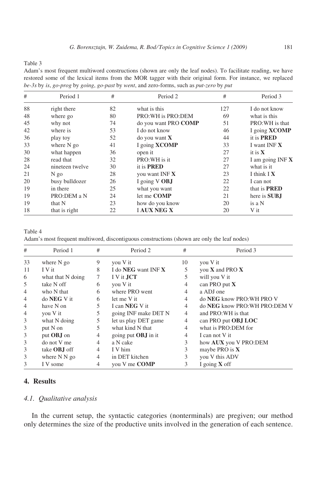Adam's most frequent multiword constructions (shown are only the leaf nodes). To facilitate reading, we have restored some of the lexical items from the MOR tagger with their original form. For instance, we replaced be-3s by is, go-prog by going, go-past by went, and zero-forms, such as put-zero by put

| #  | Period 1        | #  | Period 2                 | #   | Period 3             |
|----|-----------------|----|--------------------------|-----|----------------------|
| 88 | right there     | 82 | what is this             | 127 | I do not know        |
| 48 | where go        | 80 | PRO: WH is PRO: DEM      | 69  | what is this         |
| 45 | why not         | 74 | do you want PRO COMP     | 51  | PRO: WH is that      |
| 42 | where is        | 53 | I do not know            | 46  | I going <b>XCOMP</b> |
| 36 | play toy        | 52 | $\phi$ vou want <b>X</b> | 44  | it is <b>PRED</b>    |
| 33 | where N go      | 41 | I going <b>XCOMP</b>     | 33  | I want INF X         |
| 30 | what happen     | 36 | open it                  | 27  | it is $X$            |
| 28 | read that       | 32 | PRO: WH is it            | 27  | I am going INF X     |
| 24 | nineteen twelve | 30 | it is <b>PRED</b>        | 27  | what is it           |
| 21 | N go            | 28 | you want INF X           | 23  | I think I X          |
| 20 | busy bulldozer  | 26 | I going V OBJ            | 22  | I can not            |
| 19 | in there        | 25 | what you want            | 22  | that is <b>PRED</b>  |
| 19 | PRO:DEM a N     | 24 | let me COMP              | 21  | here is <b>SUBJ</b>  |
| 19 | that N          | 23 | how do you know          | 20  | is a N               |
| 18 | that is right   | 22 | <b>I AUX NEG X</b>       | 20  | V it                 |

Table 4 Adam's most frequent multiword, discontiguous constructions (shown are only the leaf nodes)

| #              | Period 1            | #              | Period 2                   | #              | Period 3                       |
|----------------|---------------------|----------------|----------------------------|----------------|--------------------------------|
| 33             | where N go          | 9              | you V it                   | 10             | you V it                       |
| 11             | I V it              | 8              | I do NEG want INF X        | 5              | you X and PRO X                |
| 6              | what that N doing   |                | I V it <b>JCT</b>          | 5              | will you V it                  |
| 5              | take N off          | 6              | you V it                   | $\overline{4}$ | can PRO put $X$                |
| $\overline{4}$ | who N that          | 6              | where PRO went             | $\overline{4}$ | a ADJ one                      |
| $\overline{4}$ | do <b>NEG</b> V it  | 6              | let me V it                | $\overline{4}$ | do NEG know PRO: WH PRO V      |
| 4              | have N on           | 5.             | I can NEG V it             | $\overline{4}$ | do NEG know PRO: WH PRO: DEM V |
| $\overline{4}$ | you V it            | 5              | going INF make DET N       | $\overline{4}$ | and PRO: WH is that            |
| 3              | what N doing        | 5              | let us play DET game       | $\overline{4}$ | can PRO put <b>OBJ</b> LOC     |
| 3              | put N on            | 5              | what kind N that           | $\overline{4}$ | what is PRO:DEM for            |
| 3              | put <b>OBJ</b> on   | 4              | going put <b>OBJ</b> in it | $\overline{4}$ | I can not V it                 |
| 3              | do not V me         | $\overline{4}$ | a N cake                   | 3              | how AUX you V PRO: DEM         |
| 3              | take <b>OBJ</b> off | $\overline{4}$ | I V him                    | 3              | maybe PRO is $X$               |
| 3              | where $N N$ go      | $\overline{4}$ | in DET kitchen             | 3              | you V this ADV                 |
| 3              | I V some            | 4              | you V me COMP              | 3              | I going $X$ off                |

## 4. Results

## 4.1. Qualitative analysis

In the current setup, the syntactic categories (nonterminals) are pregiven; our method only determines the size of the productive units involved in the generation of each sentence.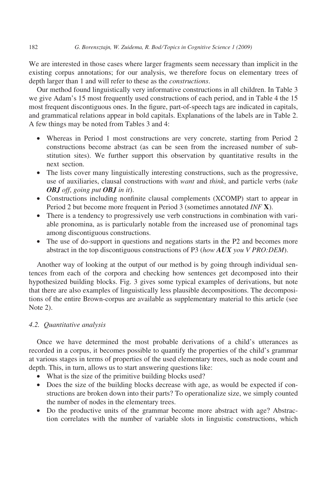We are interested in those cases where larger fragments seem necessary than implicit in the existing corpus annotations; for our analysis, we therefore focus on elementary trees of depth larger than 1 and will refer to these as the constructions.

Our method found linguistically very informative constructions in all children. In Table 3 we give Adam's 15 most frequently used constructions of each period, and in Table 4 the 15 most frequent discontiguous ones. In the figure, part-of-speech tags are indicated in capitals, and grammatical relations appear in bold capitals. Explanations of the labels are in Table 2. A few things may be noted from Tables 3 and 4:

- Whereas in Period 1 most constructions are very concrete, starting from Period 2 constructions become abstract (as can be seen from the increased number of substitution sites). We further support this observation by quantitative results in the next section.
- The lists cover many linguistically interesting constructions, such as the progressive, use of auxiliaries, clausal constructions with want and think, and particle verbs (take **OBJ** off, going put **OBJ** in it).
- Constructions including nonfinite clausal complements (XCOMP) start to appear in Period 2 but become more frequent in Period 3 (sometimes annotated INF X).
- There is a tendency to progressively use verb constructions in combination with variable pronomina, as is particularly notable from the increased use of pronominal tags among discontiguous constructions.
- The use of do-support in questions and negations starts in the P2 and becomes more abstract in the top discontiguous constructions of P3 (how AUX you V PRO:DEM).

Another way of looking at the output of our method is by going through individual sentences from each of the corpora and checking how sentences get decomposed into their hypothesized building blocks. Fig. 3 gives some typical examples of derivations, but note that there are also examples of linguistically less plausible decompositions. The decompositions of the entire Brown-corpus are available as supplementary material to this article (see Note 2).

#### 4.2. Quantitative analysis

Once we have determined the most probable derivations of a child's utterances as recorded in a corpus, it becomes possible to quantify the properties of the child's grammar at various stages in terms of properties of the used elementary trees, such as node count and depth. This, in turn, allows us to start answering questions like:

- What is the size of the primitive building blocks used?
- Does the size of the building blocks decrease with age, as would be expected if constructions are broken down into their parts? To operationalize size, we simply counted the number of nodes in the elementary trees.
- Do the productive units of the grammar become more abstract with age? Abstraction correlates with the number of variable slots in linguistic constructions, which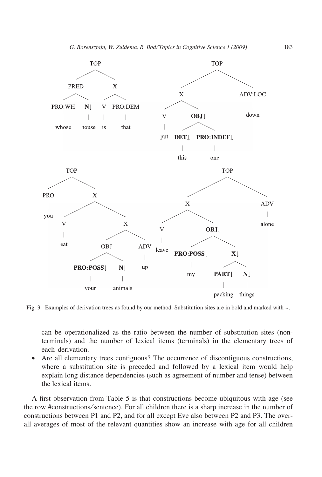

Fig. 3. Examples of derivation trees as found by our method. Substitution sites are in bold and marked with  $\downarrow$ .

can be operationalized as the ratio between the number of substitution sites (nonterminals) and the number of lexical items (terminals) in the elementary trees of each derivation.

• Are all elementary trees contiguous? The occurrence of discontiguous constructions, where a substitution site is preceded and followed by a lexical item would help explain long distance dependencies (such as agreement of number and tense) between the lexical items.

A first observation from Table 5 is that constructions become ubiquitous with age (see the row #constructions⁄sentence). For all children there is a sharp increase in the number of constructions between P1 and P2, and for all except Eve also between P2 and P3. The overall averages of most of the relevant quantities show an increase with age for all children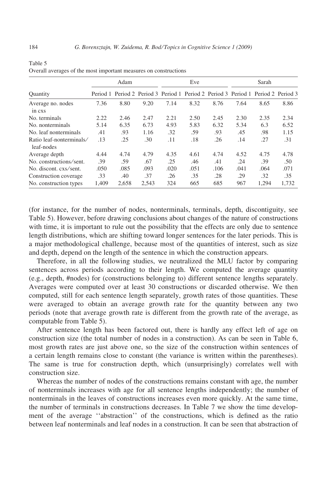|                                        | Adam  |       | Eve   |      |                                                                                  | Sarah |      |       |       |
|----------------------------------------|-------|-------|-------|------|----------------------------------------------------------------------------------|-------|------|-------|-------|
| <b>Quantity</b>                        |       |       |       |      | Period 1 Period 2 Period 3 Period 1 Period 2 Period 3 Period 1 Period 2 Period 3 |       |      |       |       |
| Average no. nodes<br>in cxs            | 7.36  | 8.80  | 9.20  | 7.14 | 8.32                                                                             | 8.76  | 7.64 | 8.65  | 8.86  |
| No. terminals                          | 2.22  | 2.46  | 2.47  | 2.21 | 2.50                                                                             | 2.45  | 2.30 | 2.35  | 2.34  |
| No. nonterminals                       | 5.14  | 6.35  | 6.73  | 4.93 | 5.83                                                                             | 6.32  | 5.34 | 6.3   | 6.52  |
| No. leaf nonterminals                  | .41   | .93   | 1.16  | .32  | .59                                                                              | .93   | .45  | .98   | 1.15  |
| Ratio leaf-nonterminals/<br>leaf-nodes | .13   | .25   | .30   | .11  | .18                                                                              | .26   | .14  | .27   | .31   |
| Average depth                          | 4.44  | 4.74  | 4.79  | 4.35 | 4.61                                                                             | 4.74  | 4.52 | 4.75  | 4.78  |
| No. constructions/sent.                | .39   | .59   | .67   | .25  | .46                                                                              | .41   | .24  | .39   | .50   |
| No. discont. cxs/sent.                 | .050  | .085  | .093  | .020 | .051                                                                             | .106  | .041 | .064  | .071  |
| Construction coverage                  | .33   | .40   | .37   | .26  | .35                                                                              | .28   | .29  | .32   | .35   |
| No. construction types                 | 1.409 | 2,658 | 2,543 | 324  | 665                                                                              | 685   | 967  | 1.294 | 1.732 |

Overall averages of the most important measures on constructions

(for instance, for the number of nodes, nonterminals, terminals, depth, discontiguity, see Table 5). However, before drawing conclusions about changes of the nature of constructions with time, it is important to rule out the possibility that the effects are only due to sentence length distributions, which are shifting toward longer sentences for the later periods. This is a major methodological challenge, because most of the quantities of interest, such as size and depth, depend on the length of the sentence in which the construction appears.

Therefore, in all the following studies, we neutralized the MLU factor by comparing sentences across periods according to their length. We computed the average quantity (e.g., depth, #nodes) for (constructions belonging to) different sentence lengths separately. Averages were computed over at least 30 constructions or discarded otherwise. We then computed, still for each sentence length separately, growth rates of those quantities. These were averaged to obtain an average growth rate for the quantity between any two periods (note that average growth rate is different from the growth rate of the average, as computable from Table 5).

After sentence length has been factored out, there is hardly any effect left of age on construction size (the total number of nodes in a construction). As can be seen in Table 6, most growth rates are just above one, so the size of the construction within sentences of a certain length remains close to constant (the variance is written within the parentheses). The same is true for construction depth, which (unsurprisingly) correlates well with construction size.

Whereas the number of nodes of the constructions remains constant with age, the number of nonterminals increases with age for all sentence lengths independently; the number of nonterminals in the leaves of constructions increases even more quickly. At the same time, the number of terminals in constructions decreases. In Table 7 we show the time development of the average ''abstraction'' of the constructions, which is defined as the ratio between leaf nonterminals and leaf nodes in a construction. It can be seen that abstraction of

Table 5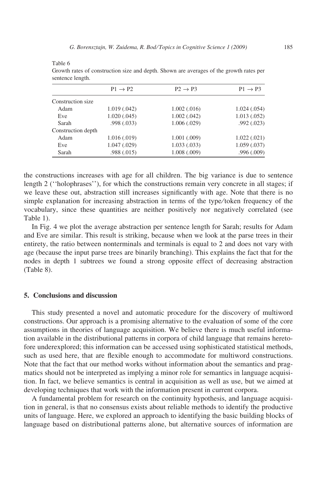|--|--|

Growth rates of construction size and depth. Shown are averages of the growth rates per sentence length.

|                    | $P1 \rightarrow P2$ | $P2 \rightarrow P3$ | $P1 \rightarrow P3$ |
|--------------------|---------------------|---------------------|---------------------|
| Construction size  |                     |                     |                     |
| Adam               | 1.019(.042)         | 1.002(.016)         | 1.024(.054)         |
| Eve                | 1.020(.045)         | 1.002(.042)         | 1.013(0.052)        |
| Sarah              | .998(.033)          | 1.006(.029)         | .992(.023)          |
| Construction depth |                     |                     |                     |
| Adam               | 1.016(.019)         | 1.001(.009)         | 1.022(.021)         |
| Eve                | 1.047(0.029)        | 1.033(0.033)        | 1.059(.037)         |
| Sarah              | .988(.015)          | 1.008(.009)         | .996(.009)          |

the constructions increases with age for all children. The big variance is due to sentence length 2 (''holophrases''), for which the constructions remain very concrete in all stages; if we leave these out, abstraction still increases significantly with age. Note that there is no simple explanation for increasing abstraction in terms of the type/token frequency of the vocabulary, since these quantities are neither positively nor negatively correlated (see Table 1).

In Fig. 4 we plot the average abstraction per sentence length for Sarah; results for Adam and Eve are similar. This result is striking, because when we look at the parse trees in their entirety, the ratio between nonterminals and terminals is equal to 2 and does not vary with age (because the input parse trees are binarily branching). This explains the fact that for the nodes in depth 1 subtrees we found a strong opposite effect of decreasing abstraction (Table 8).

#### 5. Conclusions and discussion

This study presented a novel and automatic procedure for the discovery of multiword constructions. Our approach is a promising alternative to the evaluation of some of the core assumptions in theories of language acquisition. We believe there is much useful information available in the distributional patterns in corpora of child language that remains heretofore underexplored; this information can be accessed using sophisticated statistical methods, such as used here, that are flexible enough to accommodate for multiword constructions. Note that the fact that our method works without information about the semantics and pragmatics should not be interpreted as implying a minor role for semantics in language acquisition. In fact, we believe semantics is central in acquisition as well as use, but we aimed at developing techniques that work with the information present in current corpora.

A fundamental problem for research on the continuity hypothesis, and language acquisition in general, is that no consensus exists about reliable methods to identify the productive units of language. Here, we explored an approach to identifying the basic building blocks of language based on distributional patterns alone, but alternative sources of information are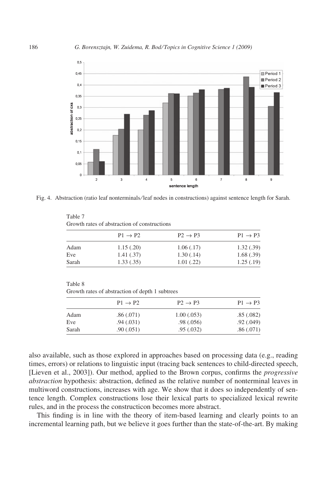

Fig. 4. Abstraction (ratio leaf nonterminals⁄ leaf nodes in constructions) against sentence length for Sarah.

| Crowll rates of abstraction of constructions |                     |                     |                     |  |
|----------------------------------------------|---------------------|---------------------|---------------------|--|
|                                              | $P1 \rightarrow P2$ | $P2 \rightarrow P3$ | $P1 \rightarrow P3$ |  |
| Adam                                         | 1.15(.20)           | 1.06(0.17)          | 1.32(.39)           |  |
| Eve                                          | 1.41(.37)           | 1.30(0.14)          | 1.68(.39)           |  |
| Sarah                                        | 1.33(0.35)          | 1.01(0.22)          | 1.25(.19)           |  |

Table 7 Growth rates of abstraction of constructions

Table 8

Growth rates of abstraction of depth 1 subtrees

|       | $P1 \rightarrow P2$ | $P2 \rightarrow P3$ | $P1 \rightarrow P3$ |
|-------|---------------------|---------------------|---------------------|
| Adam  | .86(.071)           | 1.00(.053)          | .85(.082)           |
| Eve   | $.94 \,(.031)$      | .98(.056)           | .92(.049)           |
| Sarah | .90(.051)           | .95(.032)           | .86(.071)           |

also available, such as those explored in approaches based on processing data (e.g., reading times, errors) or relations to linguistic input (tracing back sentences to child-directed speech, [Lieven et al., 2003]). Our method, applied to the Brown corpus, confirms the progressive abstraction hypothesis: abstraction, defined as the relative number of nonterminal leaves in multiword constructions, increases with age. We show that it does so independently of sentence length. Complex constructions lose their lexical parts to specialized lexical rewrite rules, and in the process the constructicon becomes more abstract.

This finding is in line with the theory of item-based learning and clearly points to an incremental learning path, but we believe it goes further than the state-of-the-art. By making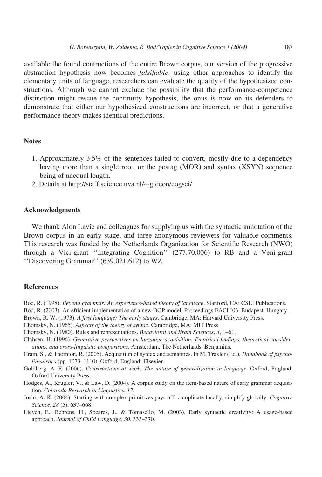available the found contructions of the entire Brown corpus, our version of the progressive abstraction hypothesis now becomes falsifiable: using other approaches to identify the elementary units of language, researchers can evaluate the quality of the hypothesized constructions. Although we cannot exclude the possibility that the performance-competence distinction might rescue the continuity hypothesis, the onus is now on its defenders to demonstrate that either our hypothesized constructions are incorrect, or that a generative performance theory makes identical predictions.

#### **Notes**

- 1. Approximately 3.5% of the sentences failed to convert, mostly due to a dependency having more than a single root, or the postag (MOR) and syntax (XSYN) sequence being of unequal length.
- 2. Details at http://staff.science.uva.nl/ $\sim$ gideon/cogsci/

#### Acknowledgments

We thank Alon Lavie and colleagues for supplying us with the syntactic annotation of the Brown corpus in an early stage, and three anonymous reviewers for valuable comments. This research was funded by the Netherlands Organization for Scientific Research (NWO) through a Vici-grant ''Integrating Cognition'' (277.70.006) to RB and a Veni-grant ''Discovering Grammar'' (639.021.612) to WZ.

## References

- Bod, R. (1998). Beyond grammar: An experience-based theory of language. Stanford, CA: CSLI Publications.
- Bod, R. (2003). An efficient implementation of a new DOP model. Proceedings EACL'03. Budapest, Hungary.
- Brown, R. W. (1973). A first language: The early stages. Cambridge, MA: Harvard University Press.
- Chomsky, N. (1965). Aspects of the theory of syntax. Cambridge, MA: MIT Press.
- Chomsky, N. (1980). Rules and representations. Behavioral and Brain Sciences, 3, 1–61.
- Clahsen, H. (1996). Generative perspectives on language acquisition: Empirical findings, theoretical considerations, and cross-linguistic comparisons. Amsterdam, The Netherlands: Benjamins.
- Crain, S., & Thornton, R. (2005). Acquisition of syntax and semantics. In M. Traxler (Ed.), Handbook of psycholinguistics (pp. 1073–1110). Oxford, England: Elsevier.
- Goldberg, A. E. (2006). Constructions at work. The nature of generalization in language. Oxford, England: Oxford University Press.
- Hodges, A., Krugler, V., & Law, D. (2004). A corpus study on the item-based nature of early grammar acquisition. Colorado Research in Linguistics, 17.
- Joshi, A. K. (2004). Starting with complex primitives pays off: complicate locally, simplify globally. Cognitive Science, 28 (5), 637–668.
- Lieven, E., Behrens, H., Speares, J., & Tomasello, M. (2003). Early syntactic creativity: A usage-based approach. Journal of Child Language, 30, 333–370.